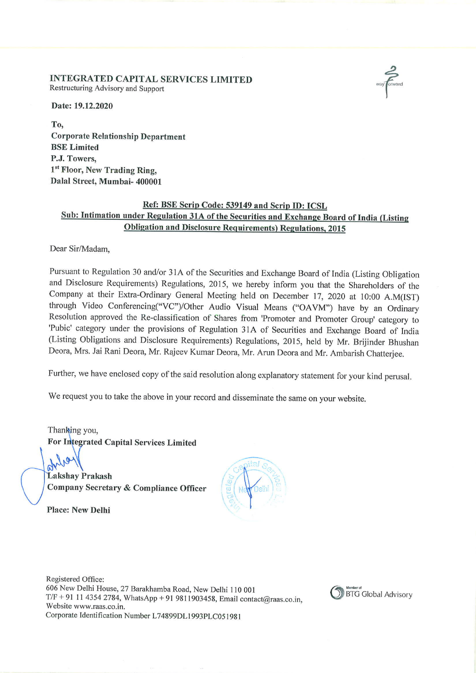#### INTEGRATED CAPITAL SERVICES LIMITED Restructuring Advisory and Support

Date: 19.12.2020

To, Corporate Relationship Department BSE Limited P.J. Towers, 1<sup>st</sup> Floor, New Trading Ring, Dalal Street, Mumbai- 400001

# Ref: BSE Scrip Code: 539149 and Scrip ID: ICSL Sub: Intimation under Regulation 31A of the Securities and Exchange Board of India (Listing Obligation and Disclosure Requirements) Regulations, <sup>2015</sup>

Dear Sir/Madam,

Pursuant to Regulation 30 and/or 31A of the Securities and Exchange Board of India (Listing Obligation and Disclosure Requirements) Regulations, 2015, we hereby inform you that the Shareholders of the Company at their Extra-Ordinary General Meeting held on December 17, <sup>2020</sup> at <sup>l</sup> 0:00 A.M(IST) through Video Conferencing("VC")/Other Audio Visual Means ("OA VM") have by an Ordinary Resolution approved the Re-classification of Shares from 'Promoter and Promoter Group' category to 'Pubic' category under the provisions of Regulation 31A of Securities and Exchange Board of India (Listing Obligations and Disclosure Requirements) Regulations, 2015, held by Mr. Brijinder Bhushan Deora, Mrs. Jai Rani Deora, Mr. Rajeev Kumar Deora, Mr. Arun Deora and Mr. Ambarish Chatterjee.

Further, we have enclosed copy of the said resolution along explanatory statement for your kind perusal.

We request you to take the above in your record and disseminate the same on your website.

Thanking you,<br>For Integrated Capital Services Limited

Lakshay Prakash Company Secretary & Compliance Office August 1997



Registered Office: 606 New Delhi House, 27 Barakhamba Road, New Delhi I IO 00 <sup>I</sup>  $T/F + 91$  11 4354 2784, WhatsApp + 91 9811903458, Email contact@raas.co.in, Website www.raas.co.in. Corporate Identification Number L74899DL1993PLC051981

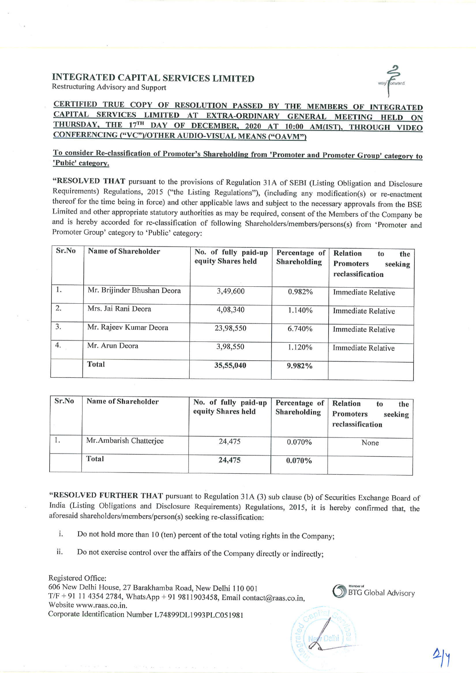#### INTEGRATED CAPITAL SERVICES LIMITED Restructuring Advisory and Support



CERTIFIED TRUE COPY OF RESOLUTION PASSED BY THE MEMBERS OF INTEGRATED CAPITAL SERVICES LIMITED AT EXTRA-ORDINARY GENERAL MEETING HELD ON THURSDAY, THE 17TH DAY OF DECEMBER, 2020 AT 10:00 AM(IST), THROUGH VIDEO CONFERENCING ("VC")/OTHER AUDIO-VISUAL MEANS ("OAVM")

# To consider Re-classification of Promoter's Shareholding from 'Promoter and Promoter Group' category to 'Pubic' category.

"RESOLVED THAT pursuant to the provisions of Regulation 31A of SEBI (Listing Obligation and Disclosure Requirements) Regulations, <sup>2015</sup> ("the Listing Regulations"), (including any modification(s) or re-enactment thereof for the time being in force) and other applicable laws and subject to the necessary approvals from the BSE Limited and other appropriate statutory authorities as may be required, consent of the Members of the Company be and is hereby accorded for re-classification of following Shareholders/members/persons(s) from 'Promoter and Promoter Group' category to 'Public' category:

| Sr.No            | Name of Shareholder         | No. of fully paid-up<br>equity Shares held | Percentage of<br>Shareholding | <b>Relation</b><br>the<br>to<br><b>Promoters</b><br>seeking<br>reclassification |
|------------------|-----------------------------|--------------------------------------------|-------------------------------|---------------------------------------------------------------------------------|
| 1.               | Mr. Brijinder Bhushan Deora | 3,49,600                                   | 0.982%                        | <b>Immediate Relative</b>                                                       |
| 2.               | Mrs. Jai Rani Deora         | 4,08,340                                   | 1.140%                        | <b>Immediate Relative</b>                                                       |
| $\overline{3}$ . | Mr. Rajeev Kumar Deora      | 23,98,550                                  | 6.740%                        | <b>Immediate Relative</b>                                                       |
| 4.               | Mr. Arun Deora              | 3,98,550                                   | 1.120%                        | Immediate Relative                                                              |
|                  | <b>Total</b>                | 35,55,040                                  | 9.982%                        |                                                                                 |

| Sr.No | Name of Shareholder    | No. of fully paid-up<br>equity Shares held | Percentage of<br>Shareholding | Relation<br>the<br>to<br><b>Promoters</b><br>seeking<br>reclassification |
|-------|------------------------|--------------------------------------------|-------------------------------|--------------------------------------------------------------------------|
| 1.    | Mr.Ambarish Chatterjee | 24,475                                     | $0.070\%$                     | None                                                                     |
|       | Total                  | 24,475                                     | $0.070\%$                     |                                                                          |

"RESOLVED FURTHER THAT pursuant to Regulation 31A (3) sub clause (b) of Securities Exchange Board of India (Listing Obligations and Disclosure Requirements) Regulations, 2015, it is hereby confirmed that, the aforesaid shareholders/members/person(s) seeking re-classification:

- 1. Do not hold more than <sup>10</sup> (ten) percent of the total voting rights in the Company;
- ii. Do not exercise control over the affairs of the Company directly or indirectly;

Registered Office: 606 New Delhi House, 27 Barakhamba Road, New Delhi <sup>I</sup> <sup>10</sup> 00 I  $T/F + 91$  11 4354 2784, WhatsApp + 91 9811903458, Email contact@raas.co.in, Website www.raas.co.in. Corporate Identification Number L74899DL1993PLC051981

BTG Global Advisory

L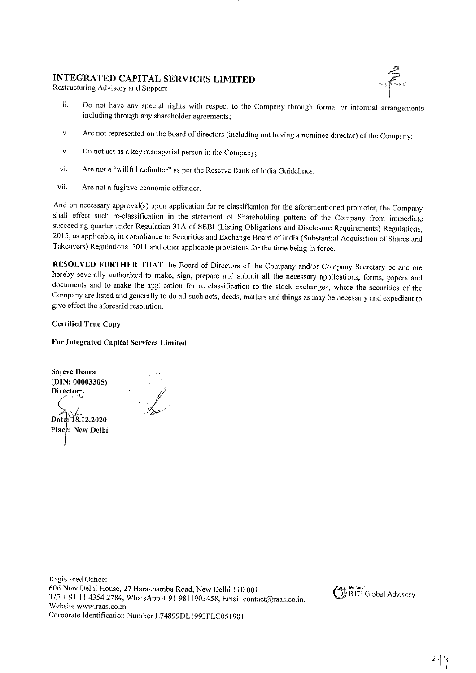## INTEGRATED CAPITAL SERVICES LIMITED

Restructuring Advisory and Support



- iii. Do not have any special rights with respect to the Company through formal or informal arrangements including through any shareholder agreements;
- iv. Are not represented on the board of directors (including not having <sup>a</sup> nominee director) of the Company;
- v. Do not act as <sup>a</sup> key managerial person in the Company;
- vi. Are not <sup>a</sup> "willful defaulter" as per the Reserve Bank of India Guidelines;
- vii. Are not <sup>a</sup> fugitive economic offender.

And on necessary approval(s) upon application for re classification for the aforementioned promoter, the Company shall effect such re-classification in the statement of Shareholding pattern of the Company from immediate succeeding quarter under Regulation 31A of SEBI (Listing Obligations and Disclosure Requirements) Regulations, 2015, as applicable, in compliance to Securities and Exchange Board of India (Substantial Acquisition of Shares and Takeovers) Regulations, <sup>2011</sup> and other applicable provisions for the time being in force.

RESOLVED FURTHER THAT the Board of Directors of the Company and/or Company Secretary be and are hereby severally authorized to make, sign, prepare and submit all the necessary applications, forms, papers and documents and to make the application for re classification to the stock exchanges, where the securities of the Company are listed and generally to do all such acts, deeds, matters and things as may be necessary and expedient to give effect the aforesaid resolution.

Certified True Copy

For Integrated Capital Services Limited

Sajeve Deora (DIN: 00003305) Director<sub>-</sub> Date: 18.12.2020 Place: New Delhi

'?\-?/?

Registered Office: <sup>606</sup> New Delhi House, <sup>27</sup> Barakhamba Road, New Delhi <sup>110</sup> <sup>001</sup>  $T/F + 911143542784$ , WhatsApp + 91 9811903458, Email contact@raas.co.in, Website www.raas.co.in. Corporate Identification Number L74899DL1993PLC051981

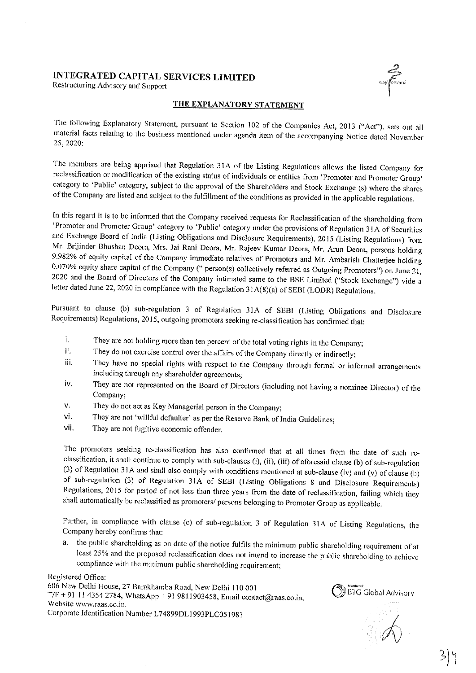# INTEGRATED CAPITAL SERVICES LIMITED

Restructuring Advisory and Support



### THE EXPLANATORY STATEMENT

The following Explanatory Statement, pursuant to Section <sup>102</sup> of the Companies Act, <sup>2013</sup> ("Act"), sets out all material facts relating to the business mentioned under agenda item of the accompanying Notice dated November 25, 2020:

The members are being apprised that Regulation <sup>3</sup> IA of the Listing Regulations allows the listed Company for reclassification or modification of the existing status of individuals or entities from 'Promoter and Promoter Group' category to 'Public' category, subject to the approval of the Shareholders and Stock Exchange (s) where the shares of the Company are listed and subject to the fulfillment of the conditions as provided in the applicable regulations.

In this regard it is to be informed that the Company received requests for Reclassification of the shareholding from 'Promoter and Promoter Group' category to 'Public' category under the provisions of Regulation <sup>31</sup> <sup>A</sup> of Securities and Exchange Board of India (Listing Obligations and Disclosure Requirements), <sup>2015</sup> (Listing Regulations) from 9.982% of equity capital of the Company immediate relatives of Promoters and Mr. Ambarish Chatterjee holding 0.070% equity share capital of the Company (" person(s) collectively referred as Outgoing Promoters") on June 21, <sup>2020</sup> and the Board of Directors of the Company intimated same to the BSE Limited ("Stock Exchange") vide <sup>a</sup> letter dated June 22, <sup>2020</sup> in compliance with the Regulation <sup>31</sup> A(8)(a) of SEBI (LODR) Regulations.

Pursuant to clause (b) sub-regulation <sup>3</sup> of Regulation 31A of SEBI (Listing Obligations and Disclosure Requirements) Regulations, 2015, outgoing promoters seeking re-classification has confirmed that:

- l, They are not holding more than ten percent of the total voting rights in the Company;
- ii. They do not exercise control over the affairs of the Company directly or indirectly;<br>iii. They have no special rights with respect to the Company through formal as inf
- They have no special rights with respect to the Company through formal or informal arrangements including through any shareholder agreements;
- iv. They are not represented on the Board of Directors (including not having <sup>a</sup> nominee Director) of the Company;
- v. They do not act as Key Managerial person in the Company;
- vi. They are not 'willful defaulter' as per the Reserve Bank of India Guidelines;
- vii. They are not fugitive economic offender.

The promoters seeking re-classification has also confirmed that at all times from the date of such re-<br>classification, it shall continue to comply with sub-clauses (i), (ii), (iii) of aforesaid clause (b) of sub-regulatio

Further, in compliance with clause (c) of sub-regulation <sup>3</sup> of Regulation <sup>3</sup> IA of Listing Regulations, the Company hereby confirms that:

a. the public shareholding as on date of the notice fulfils the minimum public shareholding requirement of at least 25% and the proposed reclassification does not intend to increase the public shareholding to achieve compliance with the minimum public shareholding requirement;

Registered Office:

<sup>606</sup> New Delhi House, <sup>27</sup> Barakhamba Road, New Delhi <sup>110</sup> <sup>001</sup>  $T/F + 91$  11 4354 2784, WhatsApp + 91 9811903458, Email contact@raas.co.in, Website www.raas.co.in. Corporate Identification Number L74899DL1993PLC051981